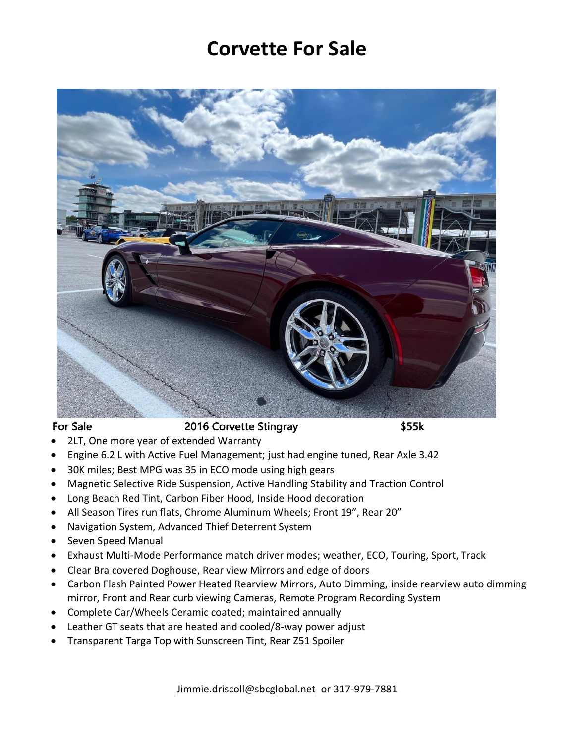## **Corvette For Sale**



## For Sale 2016 Corvette Stingray \$55k

- 2LT, One more year of extended Warranty
- Engine 6.2 L with Active Fuel Management; just had engine tuned, Rear Axle 3.42
- 30K miles; Best MPG was 35 in ECO mode using high gears
- Magnetic Selective Ride Suspension, Active Handling Stability and Traction Control
- Long Beach Red Tint, Carbon Fiber Hood, Inside Hood decoration
- All Season Tires run flats, Chrome Aluminum Wheels; Front 19", Rear 20"
- Navigation System, Advanced Thief Deterrent System
- Seven Speed Manual
- Exhaust Multi-Mode Performance match driver modes; weather, ECO, Touring, Sport, Track
- Clear Bra covered Doghouse, Rear view Mirrors and edge of doors
- Carbon Flash Painted Power Heated Rearview Mirrors, Auto Dimming, inside rearview auto dimming mirror, Front and Rear curb viewing Cameras, Remote Program Recording System
- Complete Car/Wheels Ceramic coated; maintained annually
- Leather GT seats that are heated and cooled/8-way power adjust
- Transparent Targa Top with Sunscreen Tint, Rear Z51 Spoiler

[Jimmie.driscoll@sbcglobal.net](mailto:Jimmie.driscoll@sbcglobal.net) or 317-979-7881